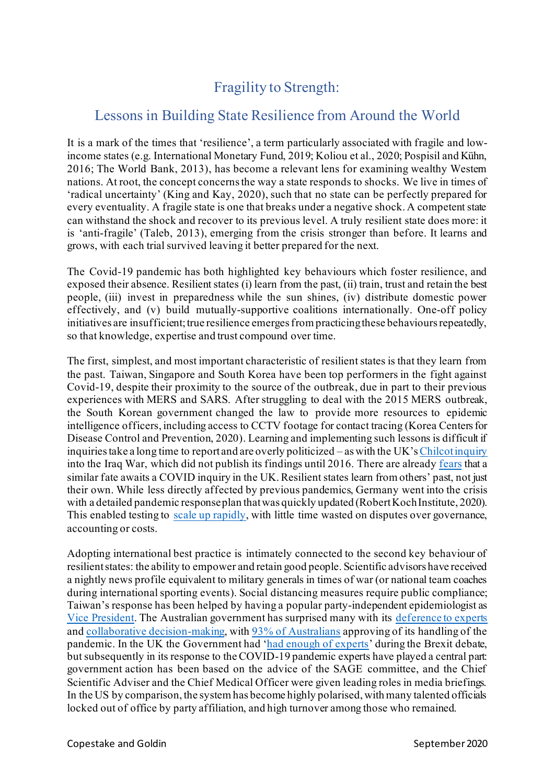## Fragility to Strength:

## Lessons in Building State Resilience from Around the World

It is a mark of the times that 'resilience', a term particularly associated with fragile and lowincome states (e.g. International Monetary Fund, 2019; Koliou et al., 2020; Pospisil and Kühn, 2016; The World Bank, 2013), has become a relevant lens for examining wealthy Western nations. At root, the concept concerns the way a state responds to shocks. We live in times of 'radical uncertainty' (King and Kay, 2020), such that no state can be perfectly prepared for every eventuality. A fragile state is one that breaks under a negative shock. A competent state can withstand the shock and recover to its previous level. A truly resilient state does more: it is 'anti-fragile' (Taleb, 2013), emerging from the crisis stronger than before. It learns and grows, with each trial survived leaving it better prepared for the next.

The Covid-19 pandemic has both highlighted key behaviours which foster resilience, and exposed their absence. Resilient states (i) learn from the past, (ii) train, trust and retain the best people, (iii) invest in preparedness while the sun shines, (iv) distribute domestic power effectively, and (v) build mutually-supportive coalitions internationally. One-off policy initiatives are insufficient; true resilience emerges from practicing these behaviours repeatedly, so that knowledge, expertise and trust compound over time.

The first, simplest, and most important characteristic of resilient states is that they learn from the past. Taiwan, Singapore and South Korea have been top performers in the fight against Covid-19, despite their proximity to the source of the outbreak, due in part to their previous experiences with MERS and SARS. After struggling to deal with the 2015 MERS outbreak, the South Korean government changed the law to provide more resources to epidemic intelligence officers, including access to CCTV footage for contact tracing (Korea Centers for Disease Control and Prevention, 2020). Learning and implementing such lessons is difficult if inquiries take a long time to report and are overly politicized – as with the UK's[Chilcot inquiry](https://www.bbc.co.uk/news/uk-politics-12224606) into the Iraq War, which did not publish its findings until 2016. There are alread[y fears](https://www.ft.com/content/be7dacc1-23d5-445e-83fa-f32d3c664174) that a similar fate awaits a COVID inquiry in the UK. Resilient states learn from others' past, not just their own. While less directly affected by previous pandemics, Germany went into the crisis with a detailed pandemic response plan that was quickly updated (Robert Koch Institute, 2020). This enabled testing to [scale up](https://www.spectator.co.uk/article/how-germany-has-managed-to-perform-so-many-covid-19-tests) rapidly, with little time wasted on disputes over governance, accounting or costs.

Adopting international best practice is intimately connected to the second key behaviour of resilient states: the ability to empower and retain good people. Scientific advisors have received a nightly news profile equivalent to military generals in times of war (or national team coaches during international sporting events). Social distancing measures require public compliance; Taiwan's response has been helped by having a popular party-independent epidemiologist as [Vice President.](https://www.nytimes.com/2020/05/09/world/asia/taiwan-vice-president-coronavirus.html) The Australian government has surprised many with its [deference to experts](https://www.nytimes.com/2020/05/18/opinion/coronavirus-australia.html?searchResultPosition=17) and [collaborative decision-making](https://www.theguardian.com/world/2020/mar/31/explainer-what-is-the-national-cabinet-and-is-it-democratic), with [93% of Australians](https://www.lowyinstitute.org/publications/covidpoll-lowy-institute-polling-australian-attitudes-coronavirus-pandemic) approving of its handling of the pandemic. In the UK the Government had '[had enough of experts](https://www.ft.com/content/3be49734-29cb-11e6-83e4-abc22d5d108c)' during the Brexit debate, but subsequently in its response to the COVID-19 pandemic experts have played a central part: government action has been based on the advice of the SAGE committee, and the Chief Scientific Adviser and the Chief Medical Officer were given leading roles in media briefings. In the US by comparison, the system has become highly polarised, with many talented officials locked out of office by party affiliation, and high turnover among those who remained.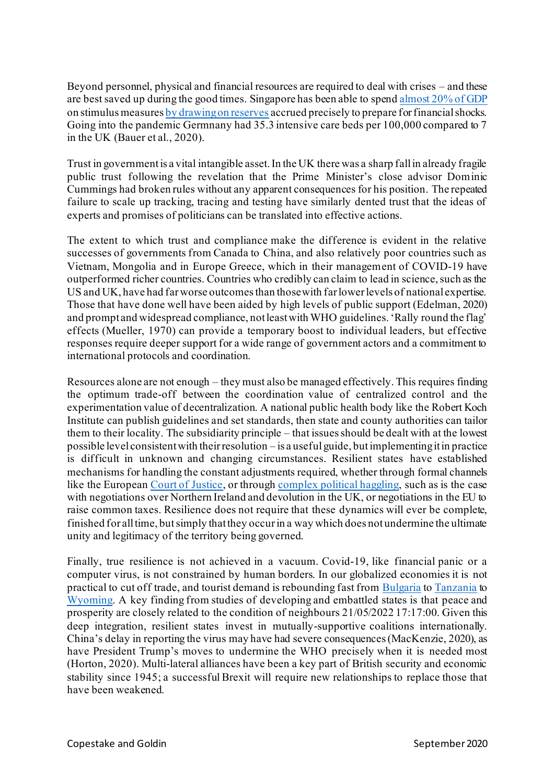Beyond personnel, physical and financial resources are required to deal with crises – and these are best saved up during the good times. Singapore has been able to spen[d almost 20% of GDP](https://uk.reuters.com/article/uk-singapore-economy-stimulus/singapore-unveils-more-virus-stimulus-now-worth-20-of-gdp-idUKKBN2320XR) on stimulus measure[s by drawing on reserves](https://www.channelnewsasia.com/news/singapore/solidarity-budget-5-1-billion-save-jobs-circuit-breaker-12611090) accrued precisely to prepare for financial shocks. Going into the pandemic Germnany had 35.3 intensive care beds per 100,000 compared to 7 in the UK (Bauer et al., 2020).

Trust in government is a vital intangible asset. In the UK there was a sharp fall in already fragile public trust following the revelation that the Prime Minister's close advisor Dominic Cummings had broken rules without any apparent consequences for his position. The repeated failure to scale up tracking, tracing and testing have similarly dented trust that the ideas of experts and promises of politicians can be translated into effective actions.

The extent to which trust and compliance make the difference is evident in the relative successes of governments from Canada to China, and also relatively poor countries such as Vietnam, Mongolia and in Europe Greece, which in their management of COVID-19 have outperformed richer countries. Countries who credibly can claim to lead in science, such as the US and UK, have had far worse outcomes than those with far lower levels of national expertise. Those that have done well have been aided by high levels of public support (Edelman, 2020) and prompt and widespread compliance, not least with WHO guidelines. 'Rally round the flag' effects (Mueller, 1970) can provide a temporary boost to individual leaders, but effective responses require deeper support for a wide range of government actors and a commitment to international protocols and coordination.

Resources alone are not enough – they must also be managed effectively. This requires finding the optimum trade-off between the coordination value of centralized control and the experimentation value of decentralization. A national public health body like the Robert Koch Institute can publish guidelines and set standards, then state and county authorities can tailor them to their locality. The subsidiarity principle – that issues should be dealt with at the lowest possible level consistent with their resolution – is a useful guide, but implementing it in practice is difficult in unknown and changing circumstances. Resilient states have established mechanisms for handling the constant adjustments required, whether through formal channels like the European [Court of Justice,](https://www.europarl.europa.eu/factsheets/en/sheet/7/the-principle-of-subsidiarity) or through [complex political haggling,](https://theconversation.com/trump-versus-the-states-what-federalism-means-for-the-coronavirus-response-136361) such as is the case with negotiations over Northern Ireland and devolution in the UK, or negotiations in the EU to raise common taxes. Resilience does not require that these dynamics will ever be complete, finished for all time, butsimply that they occur in a way which does not undermine the ultimate unity and legitimacy of the territory being governed.

Finally, true resilience is not achieved in a vacuum. Covid-19, like financial panic or a computer virus, is not constrained by human borders. In our globalized economies it is not practical to cut off trade, and tourist demand is rebounding fast fro[m Bulgaria](https://bnr.bg/en/post/101327167/cape-kaliarka-attracts-tourists-despite-pandemic) t[o Tanzania](https://www.voanews.com/covid-19-pandemic/tanzania-opening-tourism-despite-pandemic) to [Wyoming.](https://www.wyomingnewsnow.tv/2020/08/21/casper-tourism-increasing-despite-pandemic/) A key finding from studies of developing and embattled states is that peace and prosperity are closely related to the condition of neighbours 21/05/2022 17:17:00. Given this deep integration, resilient states invest in mutually-supportive coalitions internationally. China's delay in reporting the virus may have had severe consequences (MacKenzie, 2020), as have President Trump's moves to undermine the WHO precisely when it is needed most (Horton, 2020). Multi-lateral alliances have been a key part of British security and economic stability since 1945; a successful Brexit will require new relationships to replace those that have been weakened.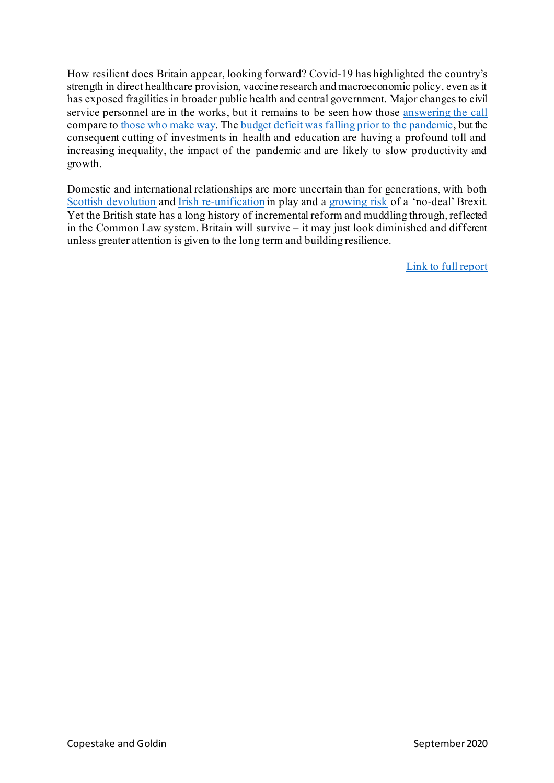How resilient does Britain appear, looking forward? Covid-19 has highlighted the country's strength in direct healthcare provision, vaccine research and macroeconomic policy, even as it has exposed fragilities in broader public health and central government. Major changes to civil service personnel are in the works, but it remains to be seen how those [answering the call](https://www.theguardian.com/politics/2020/jan/02/dominic-cummings-calls-for-weirdos-and-misfits-for-no-10-jobs) compare t[o those who make way](https://www.bbc.co.uk/news/uk-politics-53351672). The budget [deficit was falling prior to the pandemic](https://www.ons.gov.uk/economy/governmentpublicsectorandtaxes/publicspending/bulletins/ukgovernmentdebtanddeficitforeurostatmaast/march2019), but the consequent cutting of investments in health and education are having a profound toll and increasing inequality, the impact of the pandemic and are likely to slow productivity and growth.

Domestic and international relationships are more uncertain than for generations, with both [Scottish devolution](https://www.ft.com/content/2420501f-0304-4017-bfc5-46e56d325547) and Irish [re-unification](https://time.com/5779707/irish-reunification-likelihood/) in play and a [growing risk](https://www.ft.com/content/f6c2ef12-56eb-4adc-afec-6363ee5fd379) of a 'no-deal' Brexit. Yet the British state has a long history of incremental reform and muddling through, reflected in the Common Law system. Britain will survive – it may just look diminished and different unless greater attention is given to the long term and building resilience.

[Link to full report](https://copestake.info/uploads/otherwriting/fragility_to_strength.pdf)